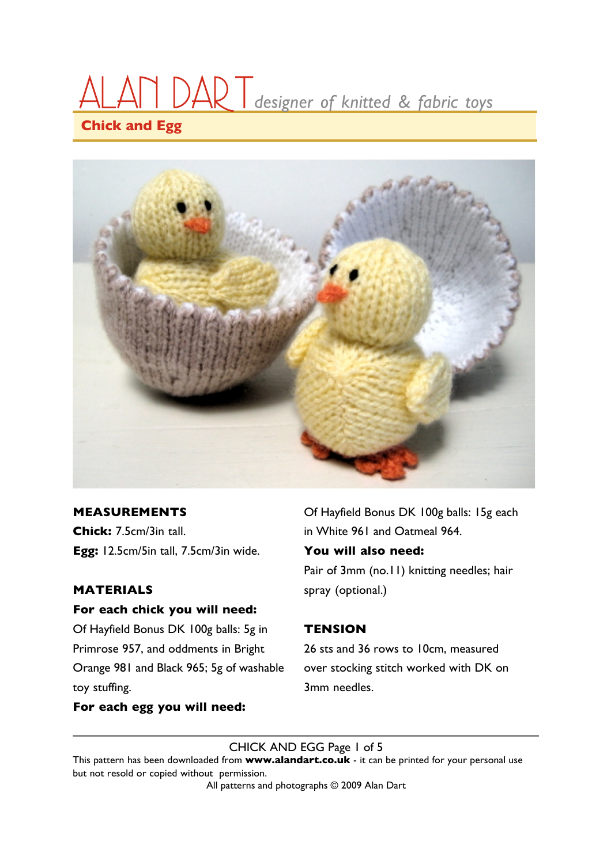# **Chick and Egg** ALAN DA‰T*designer of knitted & fabric toys*



#### **MEASUREMENTS**

**Chick:** 7.5cm/3in tall. **Egg:** 12.5cm/5in tall, 7.5cm/3in wide.

#### **MATERIALS**

#### **For each chick you will need:**

Of Hayfield Bonus DK 100g balls: 5g in Primrose 957, and oddments in Bright Orange 981 and Black 965; 5g of washable toy stuffing.

Of Hayfield Bonus DK 100g balls: 15g each in White 961 and Oatmeal 964.

#### **You will also need:**

Pair of 3mm (no.11) knitting needles; hair spray (optional.)

#### **TENSION**

26 sts and 36 rows to 10cm, measured over stocking stitch worked with DK on 3mm needles.

#### **For each egg you will need:**

CHICK AND EGG Page 1 of 5

This pattern has been downloaded from **www.alandart.co.uk** - it can be printed for your personal use but not resold or copied without permission.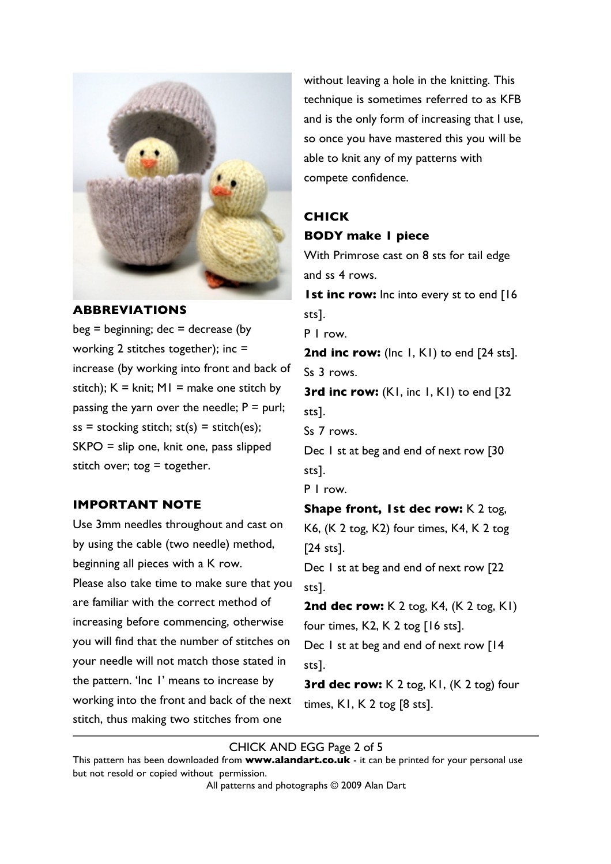

#### **ABBREVIATIONS**

 $beg = beginning; dec = decrease (by$ working 2 stitches together); inc = increase (by working into front and back of stitch);  $K = \text{knit}$ ;  $M = \text{make one stitch by}$ passing the yarn over the needle;  $P =$  purl;  $ss =$  stocking stitch;  $st(s) =$  stitch(es); SKPO = slip one, knit one, pass slipped stitch over; tog  $=$  together.

#### **IMPORTANT NOTE**

Use 3mm needles throughout and cast on by using the cable (two needle) method, beginning all pieces with a K row. Please also take time to make sure that you are familiar with the correct method of increasing before commencing, otherwise you will find that the number of stitches on your needle will not match those stated in the pattern. 'Inc 1' means to increase by working into the front and back of the next stitch, thus making two stitches from one

without leaving a hole in the knitting. This technique is sometimes referred to as KFB and is the only form of increasing that I use, so once you have mastered this you will be able to knit any of my patterns with compete confidence.

# **CHICK BODY make 1 piece**

With Primrose cast on 8 sts for tail edge and ss 4 rows.

**1st inc row:** Inc into every st to end [16] sts].

P 1 row.

2nd inc row: (Inc 1, K1) to end [24 sts]. Ss 3 rows.

**3rd inc row:** (K1, inc 1, K1) to end [32] sts].

Ss 7 rows.

Dec 1 st at beg and end of next row [30 sts].

P 1 row.

**Shape front, 1st dec row:** K 2 tog, K6, (K 2 tog, K2) four times, K4, K 2 tog [24 sts].

Dec 1 st at beg and end of next row [22 sts].

**2nd dec row:** K 2 tog, K4, (K 2 tog, K1) four times, K2, K 2 tog [16 sts]. Dec 1 st at beg and end of next row [14]

sts].

**3rd dec row:** K 2 tog, K1, (K 2 tog) four times, K1, K 2 tog [8 sts].

#### CHICK AND EGG Page 2 of 5

This pattern has been downloaded from **www.alandart.co.uk** - it can be printed for your personal use but not resold or copied without permission.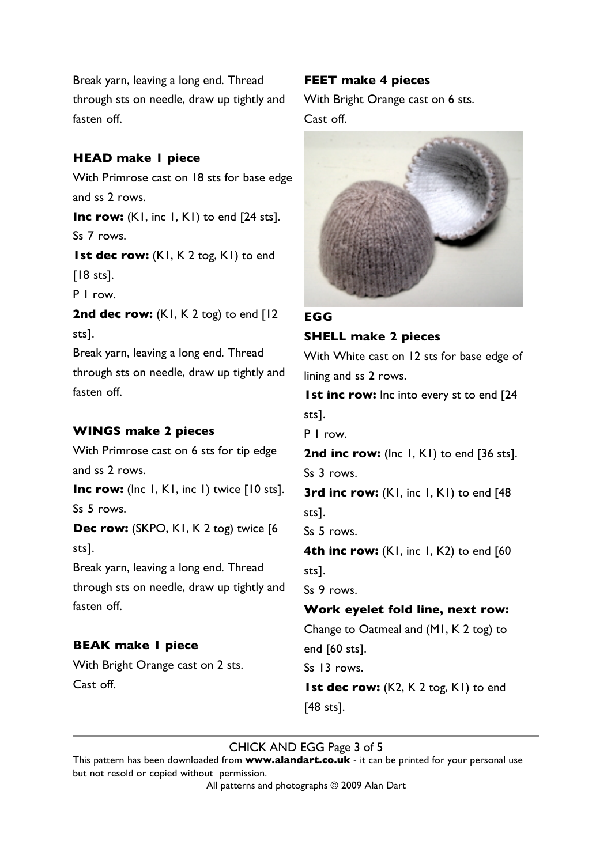Break yarn, leaving a long end. Thread through sts on needle, draw up tightly and fasten off.

#### **HEAD make 1 piece**

With Primrose cast on 18 sts for base edge and ss 2 rows. **Inc row:** (KI, inc I, KI) to end [24 sts]. Ss 7 rows. **1st dec row:** (K1, K 2 tog, K1) to end  $[18$  sts]. P 1 row. 2nd dec row: (K1, K2 tog) to end [12 sts]. Break yarn, leaving a long end. Thread through sts on needle, draw up tightly and fasten off.

#### **WINGS make 2 pieces**

With Primrose cast on 6 sts for tip edge and ss 2 rows.

**Inc row:** (Inc 1, K1, inc 1) twice [10 sts]. Ss 5 rows.

**Dec row:** (SKPO, K1, K 2 tog) twice [6] sts].

Break yarn, leaving a long end. Thread through sts on needle, draw up tightly and fasten off.

# **BEAK make 1 piece**

With Bright Orange cast on 2 sts. Cast off.

#### **FEET make 4 pieces**

With Bright Orange cast on 6 sts. Cast off.



# **EGG**

**SHELL make 2 pieces** With White cast on 12 sts for base edge of

lining and ss 2 rows.

**1st inc row:** Inc into every st to end [24 sts].

P 1 row.

2nd inc row: (Inc I, KI) to end [36 sts]. Ss 3 rows.

**3rd inc row:** (K1, inc 1, K1) to end [48] sts].

Ss 5 rows.

**4th inc row:** (K1, inc 1, K2) to end [60] sts].

Ss 9 rows.

# **Work eyelet fold line, next row:**

Change to Oatmeal and (M1, K 2 tog) to end [60 sts]. Ss 13 rows. **1st dec row:** (K2, K 2 tog, K1) to end

[48 sts].

# CHICK AND EGG Page 3 of 5

This pattern has been downloaded from **www.alandart.co.uk** - it can be printed for your personal use but not resold or copied without permission.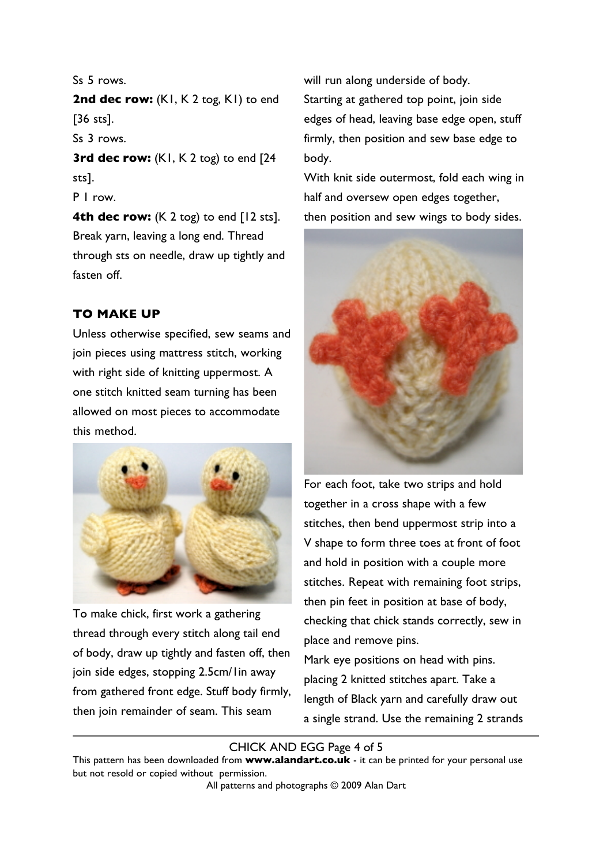Ss 5 rows.

2nd dec row: (K1, K2 tog, K1) to end [36 sts].

Ss 3 rows.

**3rd dec row:** (K1, K2 tog) to end [24 sts].

P 1 row.

**4th dec row:** (K 2 tog) to end [12 sts]. Break yarn, leaving a long end. Thread through sts on needle, draw up tightly and fasten off.

# **TO MAKE UP**

Unless otherwise specified, sew seams and join pieces using mattress stitch, working with right side of knitting uppermost. A one stitch knitted seam turning has been allowed on most pieces to accommodate this method.



To make chick, first work a gathering thread through every stitch along tail end of body, draw up tightly and fasten off, then join side edges, stopping 2.5cm/1in away from gathered front edge. Stuff body firmly, then join remainder of seam. This seam

will run along underside of body. Starting at gathered top point, join side edges of head, leaving base edge open, stuff firmly, then position and sew base edge to body.

With knit side outermost, fold each wing in half and oversew open edges together, then position and sew wings to body sides.



For each foot, take two strips and hold together in a cross shape with a few stitches, then bend uppermost strip into a V shape to form three toes at front of foot and hold in position with a couple more stitches. Repeat with remaining foot strips, then pin feet in position at base of body, checking that chick stands correctly, sew in place and remove pins.

Mark eye positions on head with pins. placing 2 knitted stitches apart. Take a length of Black yarn and carefully draw out a single strand. Use the remaining 2 strands

# CHICK AND EGG Page 4 of 5

This pattern has been downloaded from **www.alandart.co.uk** - it can be printed for your personal use but not resold or copied without permission.